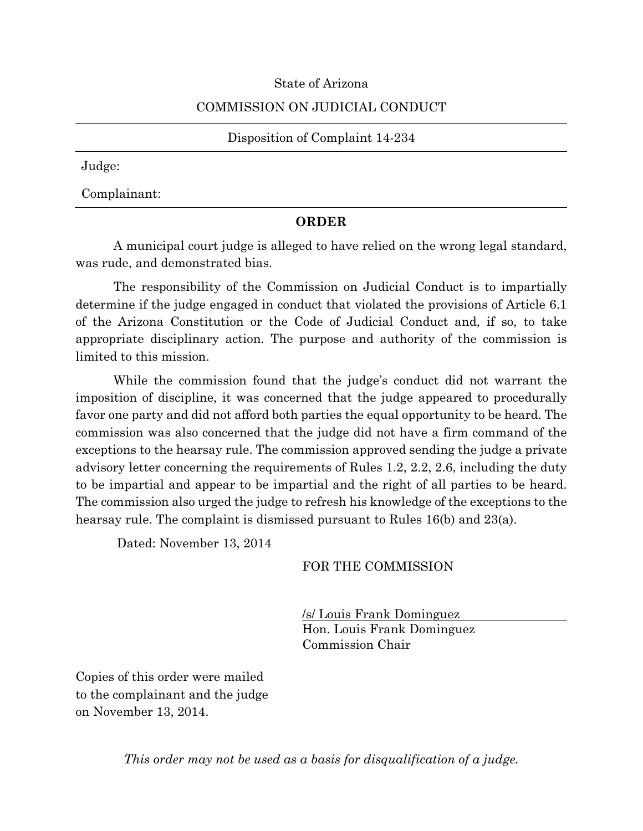## State of Arizona

## COMMISSION ON JUDICIAL CONDUCT

Disposition of Complaint 14-234

Judge:

Complainant:

## **ORDER**

A municipal court judge is alleged to have relied on the wrong legal standard, was rude, and demonstrated bias.

The responsibility of the Commission on Judicial Conduct is to impartially determine if the judge engaged in conduct that violated the provisions of Article 6.1 of the Arizona Constitution or the Code of Judicial Conduct and, if so, to take appropriate disciplinary action. The purpose and authority of the commission is limited to this mission.

While the commission found that the judge's conduct did not warrant the imposition of discipline, it was concerned that the judge appeared to procedurally favor one party and did not afford both parties the equal opportunity to be heard. The commission was also concerned that the judge did not have a firm command of the exceptions to the hearsay rule. The commission approved sending the judge a private advisory letter concerning the requirements of Rules 1.2, 2.2, 2.6, including the duty to be impartial and appear to be impartial and the right of all parties to be heard. The commission also urged the judge to refresh his knowledge of the exceptions to the hearsay rule. The complaint is dismissed pursuant to Rules 16(b) and 23(a).

Dated: November 13, 2014

## FOR THE COMMISSION

/s/ Louis Frank Dominguez Hon. Louis Frank Dominguez Commission Chair

Copies of this order were mailed to the complainant and the judge on November 13, 2014.

*This order may not be used as a basis for disqualification of a judge.*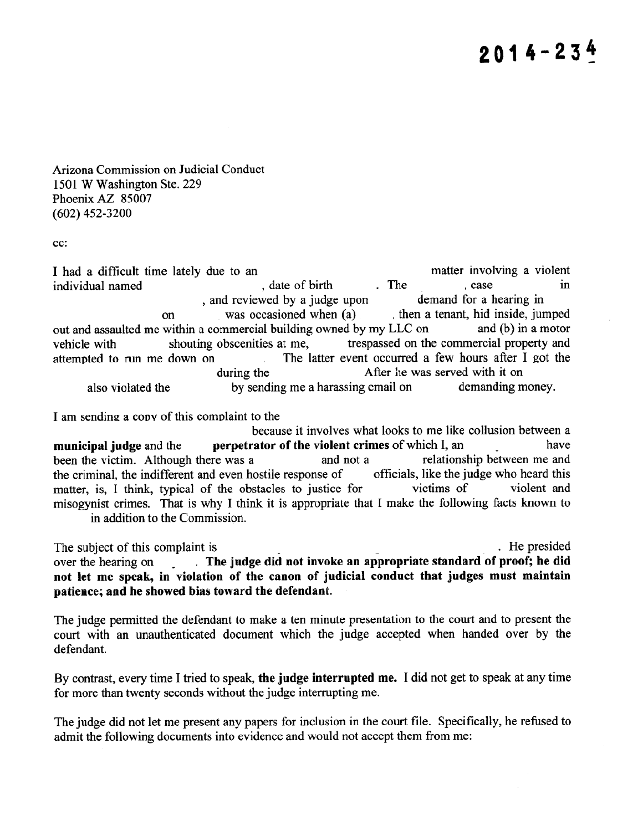$2014 - 234$ 

Arizona Commission on Judicial Conduct 1501 W Washington Ste. 229 Phoenix AZ 85007  $(602)$  452-3200

 $cc$ :

matter involving a violent I had a difficult time lately due to an individual named , date of birth . The . case in , and reviewed by a judge upon demand for a hearing in then a tenant, hid inside, jumped was occasioned when (a) on out and assaulted me within a commercial building owned by my LLC on and (b) in a motor trespassed on the commercial property and shouting obscenities at me. vehicle with The latter event occurred a few hours after I got the attempted to run me down on  $\sim 10^{-1}$ After he was served with it on during the also violated the by sending me a harassing email on demanding money.

I am sending a copy of this complaint to the

because it involves what looks to me like collusion between a perpetrator of the violent crimes of which I, an have municipal judge and the relationship between me and been the victim. Although there was a and not a the criminal, the indifferent and even hostile response of officials, like the judge who heard this victims of violent and matter, is, I think, typical of the obstacles to justice for misogynist crimes. That is why I think it is appropriate that I make the following facts known to in addition to the Commission.

. He presided The subject of this complaint is . The judge did not invoke an appropriate standard of proof; he did over the hearing on  $\mathbb{R}^{\mathbb{Z}^{\times}}$ not let me speak, in violation of the canon of judicial conduct that judges must maintain patience; and he showed bias toward the defendant.

The judge permitted the defendant to make a ten minute presentation to the court and to present the court with an unauthenticated document which the judge accepted when handed over by the defendant.

By contrast, every time I tried to speak, the judge interrupted me. I did not get to speak at any time for more than twenty seconds without the judge interrupting me.

The judge did not let me present any papers for inclusion in the court file. Specifically, he refused to admit the following documents into evidence and would not accept them from me: